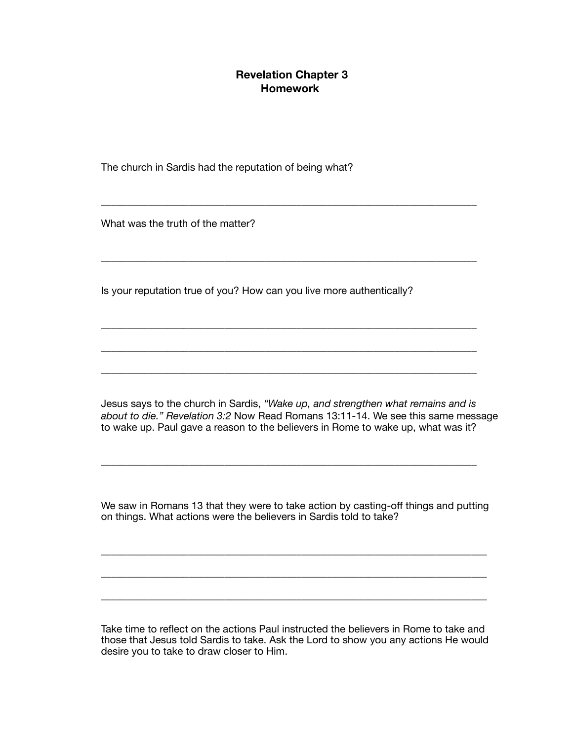## **Revelation Chapter 3 Homework**

\_\_\_\_\_\_\_\_\_\_\_\_\_\_\_\_\_\_\_\_\_\_\_\_\_\_\_\_\_\_\_\_\_\_\_\_\_\_\_\_\_\_\_\_\_\_\_\_\_\_\_\_\_\_\_\_\_\_\_\_\_\_\_\_\_\_\_\_\_\_\_\_\_

\_\_\_\_\_\_\_\_\_\_\_\_\_\_\_\_\_\_\_\_\_\_\_\_\_\_\_\_\_\_\_\_\_\_\_\_\_\_\_\_\_\_\_\_\_\_\_\_\_\_\_\_\_\_\_\_\_\_\_\_\_\_\_\_\_\_\_\_\_\_\_\_\_

\_\_\_\_\_\_\_\_\_\_\_\_\_\_\_\_\_\_\_\_\_\_\_\_\_\_\_\_\_\_\_\_\_\_\_\_\_\_\_\_\_\_\_\_\_\_\_\_\_\_\_\_\_\_\_\_\_\_\_\_\_\_\_\_\_\_\_\_\_\_\_\_\_

\_\_\_\_\_\_\_\_\_\_\_\_\_\_\_\_\_\_\_\_\_\_\_\_\_\_\_\_\_\_\_\_\_\_\_\_\_\_\_\_\_\_\_\_\_\_\_\_\_\_\_\_\_\_\_\_\_\_\_\_\_\_\_\_\_\_\_\_\_\_\_\_\_

\_\_\_\_\_\_\_\_\_\_\_\_\_\_\_\_\_\_\_\_\_\_\_\_\_\_\_\_\_\_\_\_\_\_\_\_\_\_\_\_\_\_\_\_\_\_\_\_\_\_\_\_\_\_\_\_\_\_\_\_\_\_\_\_\_\_\_\_\_\_\_\_\_

The church in Sardis had the reputation of being what?

What was the truth of the matter?

Is your reputation true of you? How can you live more authentically?

Jesus says to the church in Sardis, "Wake up, and strengthen what remains and is *about to die." Revelation 3:2* Now Read Romans 13:11-14. We see this same message to wake up. Paul gave a reason to the believers in Rome to wake up, what was it?

We saw in Romans 13 that they were to take action by casting-off things and putting on things. What actions were the believers in Sardis told to take?

\_\_\_\_\_\_\_\_\_\_\_\_\_\_\_\_\_\_\_\_\_\_\_\_\_\_\_\_\_\_\_\_\_\_\_\_\_\_\_\_\_\_\_\_\_\_\_\_\_\_\_\_\_\_\_\_\_\_\_\_\_\_\_\_\_\_\_\_\_\_\_\_\_\_\_

\_\_\_\_\_\_\_\_\_\_\_\_\_\_\_\_\_\_\_\_\_\_\_\_\_\_\_\_\_\_\_\_\_\_\_\_\_\_\_\_\_\_\_\_\_\_\_\_\_\_\_\_\_\_\_\_\_\_\_\_\_\_\_\_\_\_\_\_\_\_\_\_\_\_\_

\_\_\_\_\_\_\_\_\_\_\_\_\_\_\_\_\_\_\_\_\_\_\_\_\_\_\_\_\_\_\_\_\_\_\_\_\_\_\_\_\_\_\_\_\_\_\_\_\_\_\_\_\_\_\_\_\_\_\_\_\_\_\_\_\_\_\_\_\_\_\_\_\_\_\_

\_\_\_\_\_\_\_\_\_\_\_\_\_\_\_\_\_\_\_\_\_\_\_\_\_\_\_\_\_\_\_\_\_\_\_\_\_\_\_\_\_\_\_\_\_\_\_\_\_\_\_\_\_\_\_\_\_\_\_\_\_\_\_\_\_\_\_\_\_\_\_\_\_

Take time to reflect on the actions Paul instructed the believers in Rome to take and those that Jesus told Sardis to take. Ask the Lord to show you any actions He would desire you to take to draw closer to Him.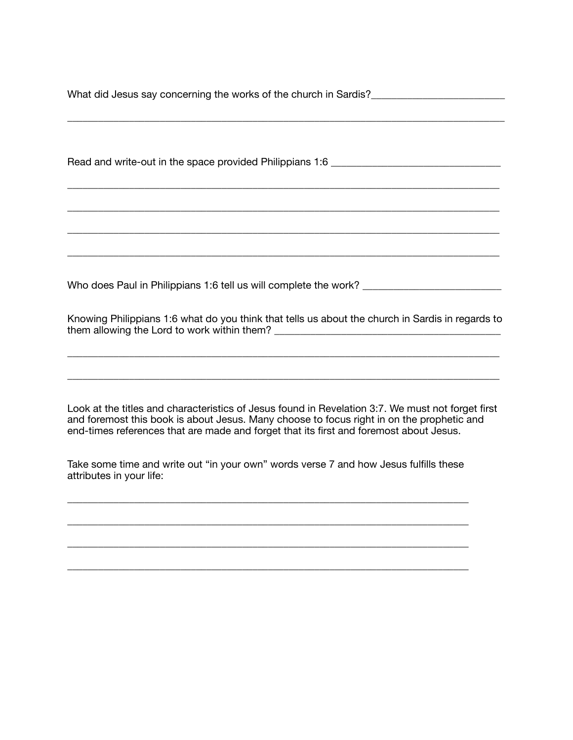What did Jesus say concerning the works of the church in Sardis?\_\_\_\_\_\_\_\_\_\_\_\_\_\_\_\_\_\_\_\_\_\_\_\_\_\_

\_\_\_\_\_\_\_\_\_\_\_\_\_\_\_\_\_\_\_\_\_\_\_\_\_\_\_\_\_\_\_\_\_\_\_\_\_\_\_\_\_\_\_\_\_\_\_\_\_\_\_\_\_\_\_\_\_\_\_\_\_\_\_\_\_\_\_\_\_\_\_\_\_\_\_\_\_\_\_\_\_\_\_\_\_

\_\_\_\_\_\_\_\_\_\_\_\_\_\_\_\_\_\_\_\_\_\_\_\_\_\_\_\_\_\_\_\_\_\_\_\_\_\_\_\_\_\_\_\_\_\_\_\_\_\_\_\_\_\_\_\_\_\_\_\_\_\_\_\_\_\_\_\_\_\_\_\_\_\_\_\_\_\_\_\_\_\_\_\_

\_\_\_\_\_\_\_\_\_\_\_\_\_\_\_\_\_\_\_\_\_\_\_\_\_\_\_\_\_\_\_\_\_\_\_\_\_\_\_\_\_\_\_\_\_\_\_\_\_\_\_\_\_\_\_\_\_\_\_\_\_\_\_\_\_\_\_\_\_\_\_\_\_\_\_\_\_\_\_\_\_\_\_\_

\_\_\_\_\_\_\_\_\_\_\_\_\_\_\_\_\_\_\_\_\_\_\_\_\_\_\_\_\_\_\_\_\_\_\_\_\_\_\_\_\_\_\_\_\_\_\_\_\_\_\_\_\_\_\_\_\_\_\_\_\_\_\_\_\_\_\_\_\_\_\_\_\_\_\_\_\_\_\_\_\_\_\_\_

\_\_\_\_\_\_\_\_\_\_\_\_\_\_\_\_\_\_\_\_\_\_\_\_\_\_\_\_\_\_\_\_\_\_\_\_\_\_\_\_\_\_\_\_\_\_\_\_\_\_\_\_\_\_\_\_\_\_\_\_\_\_\_\_\_\_\_\_\_\_\_\_\_\_\_\_\_\_\_\_\_\_\_\_

Read and write-out in the space provided Philippians 1:6 \_\_\_\_\_\_\_\_\_\_\_\_\_\_\_\_\_\_\_\_\_\_\_\_

Who does Paul in Philippians 1:6 tell us will complete the work? \_\_\_\_\_\_\_\_\_\_\_\_\_\_\_\_\_\_\_\_\_\_

Knowing Philippians 1:6 what do you think that tells us about the church in Sardis in regards to them allowing the Lord to work within them?

\_\_\_\_\_\_\_\_\_\_\_\_\_\_\_\_\_\_\_\_\_\_\_\_\_\_\_\_\_\_\_\_\_\_\_\_\_\_\_\_\_\_\_\_\_\_\_\_\_\_\_\_\_\_\_\_\_\_\_\_\_\_\_\_\_\_\_\_\_\_\_\_\_\_\_\_\_\_\_\_\_\_\_\_

\_\_\_\_\_\_\_\_\_\_\_\_\_\_\_\_\_\_\_\_\_\_\_\_\_\_\_\_\_\_\_\_\_\_\_\_\_\_\_\_\_\_\_\_\_\_\_\_\_\_\_\_\_\_\_\_\_\_\_\_\_\_\_\_\_\_\_\_\_\_\_\_\_\_\_\_\_\_\_\_\_\_\_\_

Look at the titles and characteristics of Jesus found in Revelation 3:7. We must not forget first and foremost this book is about Jesus. Many choose to focus right in on the prophetic and end-times references that are made and forget that its first and foremost about Jesus.

Take some time and write out "in your own" words verse 7 and how Jesus fulfills these attributes in your life:

\_\_\_\_\_\_\_\_\_\_\_\_\_\_\_\_\_\_\_\_\_\_\_\_\_\_\_\_\_\_\_\_\_\_\_\_\_\_\_\_\_\_\_\_\_\_\_\_\_\_\_\_\_\_\_\_\_\_\_\_\_\_\_\_\_\_\_\_\_\_\_\_\_\_\_\_\_\_

\_\_\_\_\_\_\_\_\_\_\_\_\_\_\_\_\_\_\_\_\_\_\_\_\_\_\_\_\_\_\_\_\_\_\_\_\_\_\_\_\_\_\_\_\_\_\_\_\_\_\_\_\_\_\_\_\_\_\_\_\_\_\_\_\_\_\_\_\_\_\_\_\_\_\_\_\_\_

\_\_\_\_\_\_\_\_\_\_\_\_\_\_\_\_\_\_\_\_\_\_\_\_\_\_\_\_\_\_\_\_\_\_\_\_\_\_\_\_\_\_\_\_\_\_\_\_\_\_\_\_\_\_\_\_\_\_\_\_\_\_\_\_\_\_\_\_\_\_\_\_\_\_\_\_\_\_

\_\_\_\_\_\_\_\_\_\_\_\_\_\_\_\_\_\_\_\_\_\_\_\_\_\_\_\_\_\_\_\_\_\_\_\_\_\_\_\_\_\_\_\_\_\_\_\_\_\_\_\_\_\_\_\_\_\_\_\_\_\_\_\_\_\_\_\_\_\_\_\_\_\_\_\_\_\_